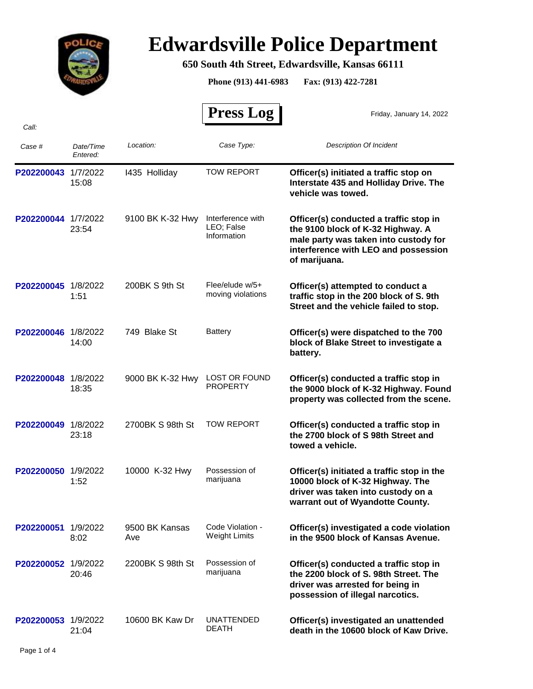

## **Edwardsville Police Department**

## **650 South 4th Street, Edwardsville, Kansas 66111**

**Phone (913) 441-6983 Fax: (913) 422-7281**

 **Press Log**  *Case # Date/Time Entered: Location: Case Type: Description Of Incident*  Friday, January 14, 2022 *Call:* **P202200043** 1/7/2022 1435 Holliday TOW REPORT **Officer(s) initiated a traffic stop on Interstate 435 and Holliday Drive. The vehicle was towed.** TOW REPORT 15:08 I435 Holliday **P202200044** 1/7/2022 9100 BK K-32 Hwy Interference with **Officer(s) conducted a traffic stop in the 9100 block of K-32 Highway. A male party was taken into custody for interference with LEO and possession of marijuana.** Interference with LEO; False Information 23:54 9100 BK K-32 Hwy **P202200045** 1/8/2022 200BK S 9th St Flee/elude w/5+ **Officer(s) attempted to conduct a traffic stop in the 200 block of S. 9th Street and the vehicle failed to stop.** Flee/elude w/5+ 1:51 moving violations 200BK S 9th St **P202200046** 1/8/2022 749 Blake St Battery **Officer(s) were dispatched to the 700 block of Blake Street to investigate a battery. Battery** 14:00 749 Blake St **P202200048** 1/8/2022 9000 BK K-32 Hwy LOST OR FOUND **Officer(s) conducted a traffic stop in the 9000 block of K-32 Highway. Found property was collected from the scene.** 18:35 PROPERTY **P202200049** 1/8/2022 2700BK S 98th St TOW REPORT **Officer(s) conducted a traffic stop in the 2700 block of S 98th Street and towed a vehicle.** TOW REPORT 23:18 2700BK S 98th St P202200050 1/9/2022 10000 K-32 Hwy Possession of **Officer(s) initiated a traffic stop in the 10000 block of K-32 Highway. The driver was taken into custody on a warrant out of Wyandotte County.** Possession of 1:52 marijuana 10000 K-32 Hwy **P202200051** 1/9/2022 **Officer(s) investigated a code violation in the 9500 block of Kansas Avenue.** Code Violation - 8:02 Weight Limits 9500 BK Kansas Ave **P202200052** 1/9/2022 2200BK S 98th St Possession of **Officer(s) conducted a traffic stop in the 2200 block of S. 98th Street. The driver was arrested for being in possession of illegal narcotics.** Possession of 20:46 marijuana 2200BK S 98th St **P202200053** 1/9/2022 10600 BK Kaw Dr UNATTENDED **Officer(s) investigated an unattended death in the 10600 block of Kaw Drive.** UNATTENDED 21:04 DEATH 10600 BK Kaw Dr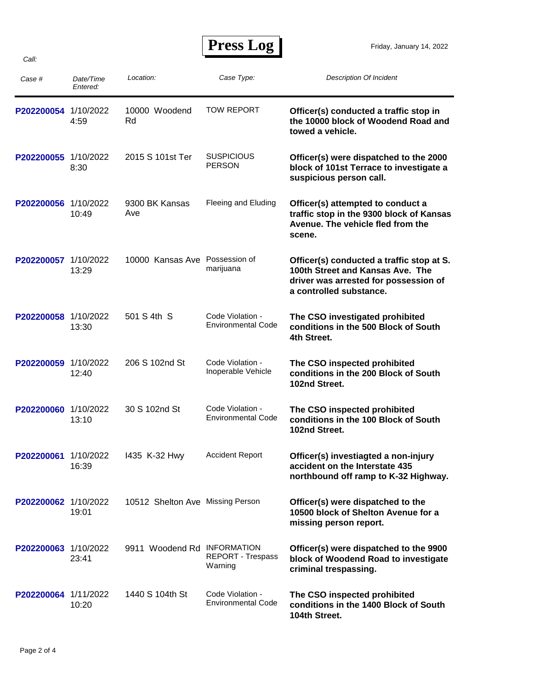| Case #               | Date/Time<br>Entered: | Location:                        | Case Type:                                    | <b>Description Of Incident</b>                                                                                                                    |
|----------------------|-----------------------|----------------------------------|-----------------------------------------------|---------------------------------------------------------------------------------------------------------------------------------------------------|
| P202200054 1/10/2022 | 4:59                  | 10000 Woodend<br>Rd              | <b>TOW REPORT</b>                             | Officer(s) conducted a traffic stop in<br>the 10000 block of Woodend Road and<br>towed a vehicle.                                                 |
| P202200055 1/10/2022 | 8:30                  | 2015 S 101st Ter                 | <b>SUSPICIOUS</b><br><b>PERSON</b>            | Officer(s) were dispatched to the 2000<br>block of 101st Terrace to investigate a<br>suspicious person call.                                      |
| P202200056 1/10/2022 | 10:49                 | 9300 BK Kansas<br>Ave            | Fleeing and Eluding                           | Officer(s) attempted to conduct a<br>traffic stop in the 9300 block of Kansas<br>Avenue. The vehicle fled from the<br>scene.                      |
| P202200057           | 1/10/2022<br>13:29    | 10000 Kansas Ave                 | Possession of<br>marijuana                    | Officer(s) conducted a traffic stop at S.<br>100th Street and Kansas Ave. The<br>driver was arrested for possession of<br>a controlled substance. |
| P202200058 1/10/2022 | 13:30                 | 501 S 4th S                      | Code Violation -<br><b>Environmental Code</b> | The CSO investigated prohibited<br>conditions in the 500 Block of South<br>4th Street.                                                            |
| P202200059           | 1/10/2022<br>12:40    | 206 S 102nd St                   | Code Violation -<br>Inoperable Vehicle        | The CSO inspected prohibited<br>conditions in the 200 Block of South<br>102nd Street.                                                             |
| P202200060           | 1/10/2022<br>13:10    | 30 S 102nd St                    | Code Violation -<br>Environmental Code        | The CSO inspected prohibited<br>conditions in the 100 Block of South<br>102nd Street.                                                             |
| P202200061           | 1/10/2022<br>16:39    | 1435 K-32 Hwy                    | <b>Accident Report</b>                        | Officer(s) investiagted a non-injury<br>accident on the Interstate 435<br>northbound off ramp to K-32 Highway.                                    |
| P202200062 1/10/2022 | 19:01                 | 10512 Shelton Ave Missing Person |                                               | Officer(s) were dispatched to the<br>10500 block of Shelton Avenue for a<br>missing person report.                                                |
| P202200063 1/10/2022 | 23:41                 | 9911 Woodend Rd INFORMATION      | REPORT - Trespass<br>Warning                  | Officer(s) were dispatched to the 9900<br>block of Woodend Road to investigate<br>criminal trespassing.                                           |
| P202200064 1/11/2022 | 10:20                 | 1440 S 104th St                  | Code Violation -<br><b>Environmental Code</b> | The CSO inspected prohibited<br>conditions in the 1400 Block of South<br>104th Street.                                                            |

*Call:*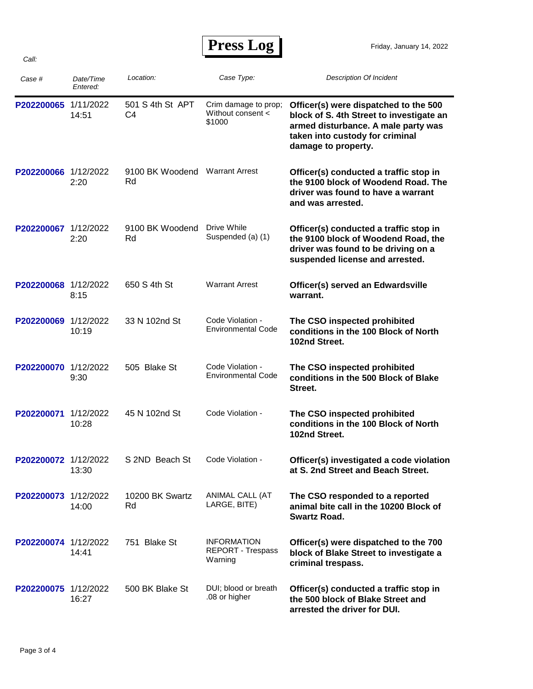## **Press Log**

| Case #               | Date/Time<br>Entered: | Location:                            | Case Type:                                          | <b>Description Of Incident</b>                                                                                                                                                     |
|----------------------|-----------------------|--------------------------------------|-----------------------------------------------------|------------------------------------------------------------------------------------------------------------------------------------------------------------------------------------|
| P202200065 1/11/2022 | 14:51                 | 501 S 4th St APT<br>C4               | Crim damage to prop;<br>Without consent <<br>\$1000 | Officer(s) were dispatched to the 500<br>block of S. 4th Street to investigate an<br>armed disturbance. A male party was<br>taken into custody for criminal<br>damage to property. |
| P202200066 1/12/2022 | 2:20                  | 9100 BK Woodend Warrant Arrest<br>Rd |                                                     | Officer(s) conducted a traffic stop in<br>the 9100 block of Woodend Road. The<br>driver was found to have a warrant<br>and was arrested.                                           |
| P202200067 1/12/2022 | 2:20                  | 9100 BK Woodend<br>Rd                | Drive While<br>Suspended (a) (1)                    | Officer(s) conducted a traffic stop in<br>the 9100 block of Woodend Road, the<br>driver was found to be driving on a<br>suspended license and arrested.                            |
| P202200068 1/12/2022 | 8:15                  | 650 S 4th St                         | <b>Warrant Arrest</b>                               | Officer(s) served an Edwardsville<br>warrant.                                                                                                                                      |
| P202200069           | 1/12/2022<br>10:19    | 33 N 102nd St                        | Code Violation -<br><b>Environmental Code</b>       | The CSO inspected prohibited<br>conditions in the 100 Block of North<br>102nd Street.                                                                                              |
| P202200070           | 1/12/2022<br>9:30     | 505 Blake St                         | Code Violation -<br><b>Environmental Code</b>       | The CSO inspected prohibited<br>conditions in the 500 Block of Blake<br>Street.                                                                                                    |
| P202200071           | 1/12/2022<br>10:28    | 45 N 102nd St                        | Code Violation -                                    | The CSO inspected prohibited<br>conditions in the 100 Block of North<br>102nd Street.                                                                                              |
| P202200072 1/12/2022 | 13:30                 | S 2ND Beach St                       | Code Violation -                                    | Officer(s) investigated a code violation<br>at S. 2nd Street and Beach Street.                                                                                                     |
| P202200073 1/12/2022 | 14:00                 | 10200 BK Swartz<br>Rd                | ANIMAL CALL (AT<br>LARGE, BITE)                     | The CSO responded to a reported<br>animal bite call in the 10200 Block of<br><b>Swartz Road.</b>                                                                                   |
| P202200074 1/12/2022 | 14:41                 | 751 Blake St                         | <b>INFORMATION</b><br>REPORT - Trespass<br>Warning  | Officer(s) were dispatched to the 700<br>block of Blake Street to investigate a<br>criminal trespass.                                                                              |
| P202200075 1/12/2022 | 16:27                 | 500 BK Blake St                      | DUI; blood or breath<br>.08 or higher               | Officer(s) conducted a traffic stop in<br>the 500 block of Blake Street and<br>arrested the driver for DUI.                                                                        |

*Call:*